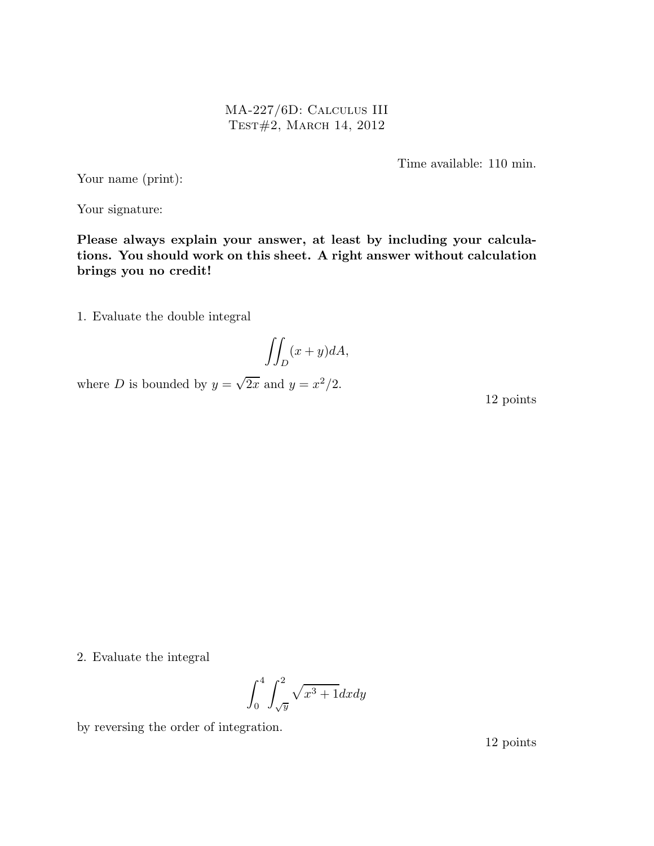MA-227/6D: Calculus III Test#2, March 14, 2012

Time available: 110 min.

Your name (print):

Your signature:

Please always explain your answer, at least by including your calculations. You should work on this sheet. A right answer without calculation brings you no credit!

1. Evaluate the double integral

$$
\iint_D (x+y)dA,
$$

where D is bounded by  $y = \sqrt{2x}$  and  $y = x^2/2$ .

12 points

2. Evaluate the integral

$$
\int_0^4 \int_{\sqrt{y}}^2 \sqrt{x^3 + 1} dx dy
$$

by reversing the order of integration.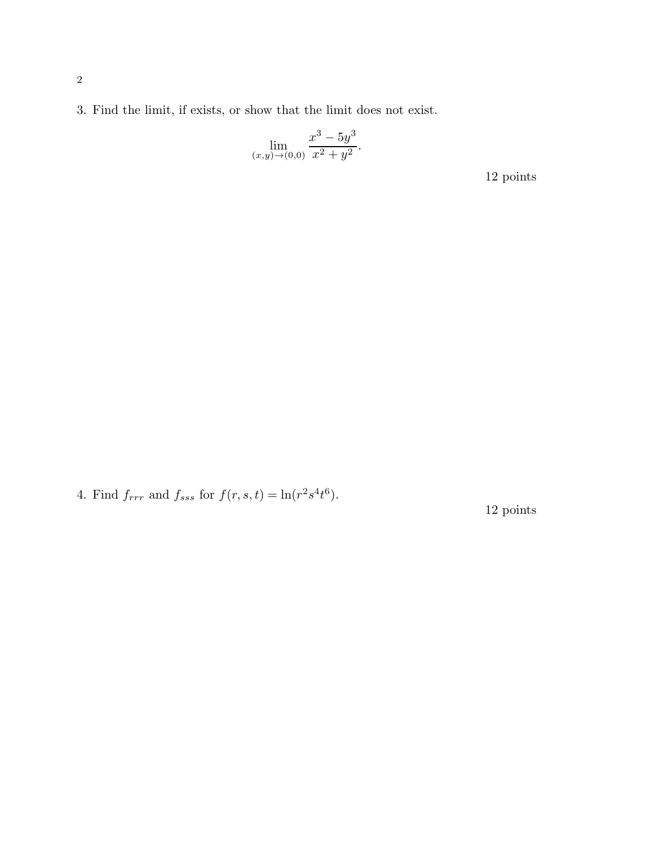3. Find the limit, if exists, or show that the limit does not exist.

$$
\lim_{(x,y)\to(0,0)}\frac{x^3 - 5y^3}{x^2 + y^2}.
$$

12 points

4. Find  $f_{rrr}$  and  $f_{sss}$  for  $f(r, s, t) = \ln(r^2 s^4 t^6)$ .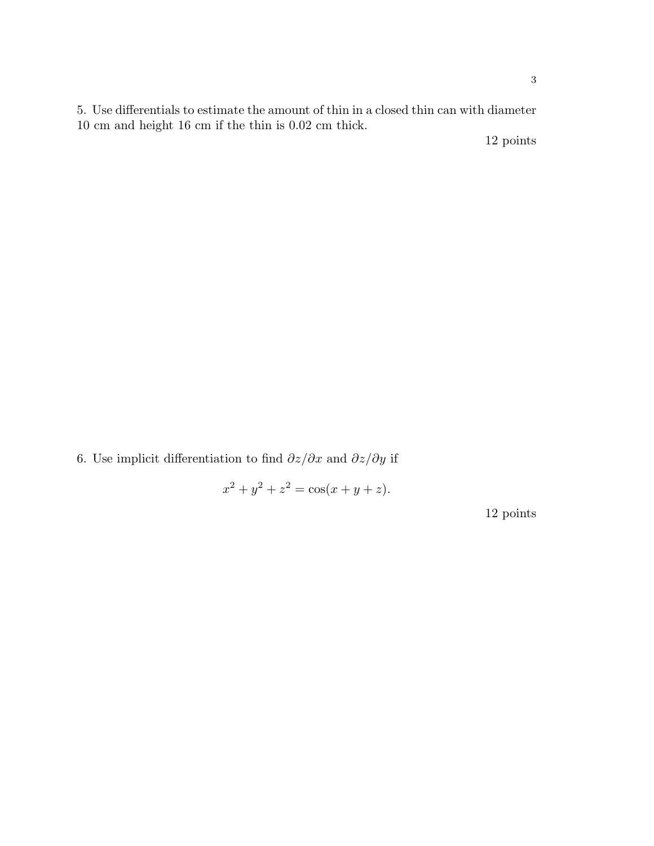5. Use differentials to estimate the amount of thin in a closed thin can with diameter 10 cm and height 16 cm if the thin is 0.02 cm thick.

12 points

6. Use implicit differentiation to find  $\partial z/\partial x$  and  $\partial z/\partial y$  if

 $x^2 + y^2 + z^2 = \cos(x + y + z).$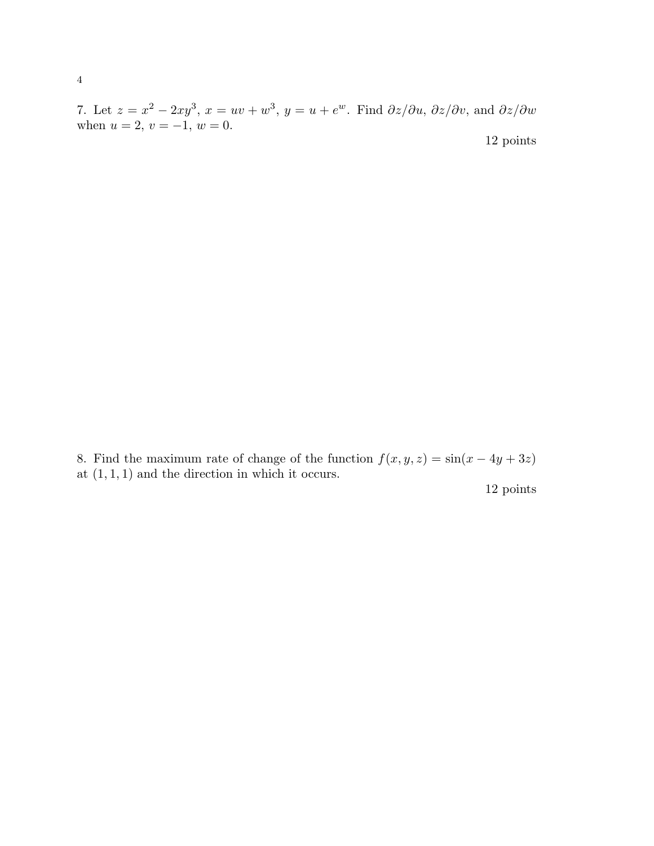7. Let  $z = x^2 - 2xy^3$ ,  $x = uv + w^3$ ,  $y = u + e^w$ . Find  $\partial z/\partial u$ ,  $\partial z/\partial v$ , and  $\partial z/\partial w$ when  $u = 2, v = -1, w = 0.$ 12 points

8. Find the maximum rate of change of the function  $f(x, y, z) = \sin(x - 4y + 3z)$ at  $(1, 1, 1)$  and the direction in which it occurs.